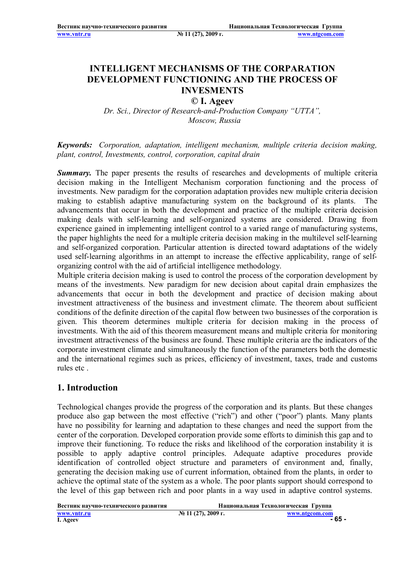**www.vntr.ru № 11 (27), 2009 г. www.ntgcom.com**

# **INTELLIGENT MECHANISMS OF THE CORPARATION DEVELOPMENT FUNCTIONING AND THE PROCESS OF INVESMENTS**

#### **© I. Ageev**

*Dr. Sci., Director of Research-and-Production Company "UTTA", Moscow, Russia*

#### *Keywords: Corporation, adaptation, intelligent mechanism, multiple criteria decision making, plant, control, Investments, control, corporation, capital drain*

**Summary.** The paper presents the results of researches and developments of multiple criteria decision making in the Intelligent Mechanism corporation functioning and the process of investments. New paradigm for the corporation adaptation provides new multiple criteria decision making to establish adaptive manufacturing system on the background of its plants. The advancements that occur in both the development and practice of the multiple criteria decision making deals with self-learning and self-organized systems are considered. Drawing from experience gained in implementing intelligent control to a varied range of manufacturing systems, the paper highlights the need for a multiple criteria decision making in the multilevel self-learning and self-organized corporation. Particular attention is directed toward adaptations of the widely used self-learning algorithms in an attempt to increase the effective applicability, range of selforganizing control with the aid of artificial intelligence methodology.

Multiple criteria decision making is used to control the process of the corporation development by means of the investments. New paradigm for new decision about capital drain emphasizes the advancements that occur in both the development and practice of decision making about investment attractiveness of the business and investment climate. The theorem about sufficient conditions of the definite direction of the capital flow between two businesses of the corporation is given. This theorem determines multiple criteria for decision making in the process of investments. With the aid of this theorem measurement means and multiple criteria for monitoring investment attractiveness of the business are found. These multiple criteria are the indicators of the corporate investment climate and simultaneously the function of the parameters both the domestic and the international regimes such as prices, efficiency of investment, taxes, trade and customs rules etc .

#### **1. Introduction**

Technological changes provide the progress of the corporation and its plants. But these changes produce also gap between the most effective ("rich") and other ("poor") plants. Many plants have no possibility for learning and adaptation to these changes and need the support from the center of the corporation. Developed corporation provide some efforts to diminish this gap and to improve their functioning. To reduce the risks and likelihood of the corporation instability it is possible to apply adaptive control principles. Adequate adaptive procedures provide identification of controlled object structure and parameters of environment and, finally, generating the decision making use of current information, obtained from the plants, in order to achieve the optimal state of the system as a whole. The poor plants support should correspond to the level of this gap between rich and poor plants in a way used in adaptive control systems.

| Вестник научно-технического развития |                        | Национальная Технологическая Группа |
|--------------------------------------|------------------------|-------------------------------------|
| www.vntr.ru                          | $N_2$ 11 (27), 2009 г. | www.ntgcom.com                      |
| I. Ageev                             |                        | - 65 -                              |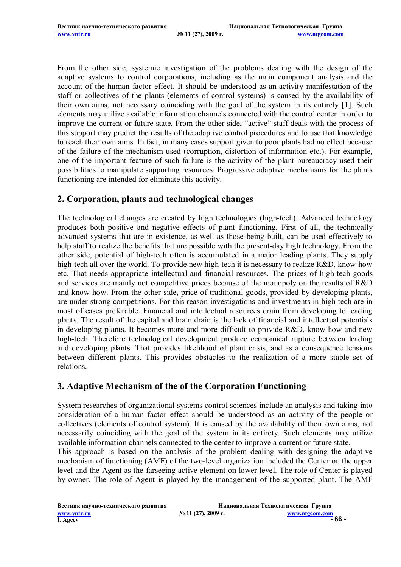From the other side, systemic investigation of the problems dealing with the design of the adaptive systems to control corporations, including as the main component analysis and the account of the human factor effect. It should be understood as an activity manifestation of the staff or collectives of the plants (elements of control systems) is caused by the availability of their own aims, not necessary coinciding with the goal of the system in its entirely [1]. Such elements may utilize available information channels connected with the control center in order to improve the current or future state. From the other side, "active" staff deals with the process of this support may predict the results of the adaptive control procedures and to use that knowledge to reach their own aims. In fact, in many cases support given to poor plants had no effect because of the failure of the mechanism used (corruption, distortion of information etc.). For example, one of the important feature of such failure is the activity of the plant bureaucracy used their possibilities to manipulate supporting resources. Progressive adaptive mechanisms for the plants functioning are intended for eliminate this activity.

## **2. Corporation, plants and technological changes**

The technological changes are created by high technologies (high-tech). Advanced technology produces both positive and negative effects of plant functioning. First of all, the technically advanced systems that are in existence, as well as those being built, can be used effectively to help staff to realize the benefits that are possible with the present-day high technology. From the other side, potential of high-tech often is accumulated in a major leading plants. They supply high-tech all over the world. To provide new high-tech it is necessary to realize R&D, know-how etc. That needs appropriate intellectual and financial resources. The prices of high-tech goods and services are mainly not competitive prices because of the monopoly on the results of R&D and know-how. From the other side, price of traditional goods, provided by developing plants, are under strong competitions. For this reason investigations and investments in high-tech are in most of cases preferable. Financial and intellectual resources drain from developing to leading plants. The result of the capital and brain drain is the lack of financial and intellectual potentials in developing plants. It becomes more and more difficult to provide R&D, know-how and new high-tech. Therefore technological development produce economical rupture between leading and developing plants. That provides likelihood of plant crisis, and as a consequence tensions between different plants. This provides obstacles to the realization of a more stable set of relations.

## **3. Adaptive Mechanism of the of the Corporation Functioning**

System researches of organizational systems control sciences include an analysis and taking into consideration of a human factor effect should be understood as an activity of the people or collectives (elements of control system). It is caused by the availability of their own aims, not necessarily coinciding with the goal of the system in its entirety. Such elements may utilize available information channels connected to the center to improve a current or future state.

This approach is based on the analysis of the problem dealing with designing the adaptive mechanism of functioning (AMF) of the two-level organization included the Center on the upper level and the Agent as the farseeing active element on lower level. The role of Center is played by owner. The role of Agent is played by the management of the supported plant. The AMF

| Вестник научно-технического развития |                       | Национальная Технологическая Группа |
|--------------------------------------|-----------------------|-------------------------------------|
| www.vntr.ru<br>I. Ageev              | $N2$ 11 (27), 2009 г. | www.ntgcom.com<br>- 66 -            |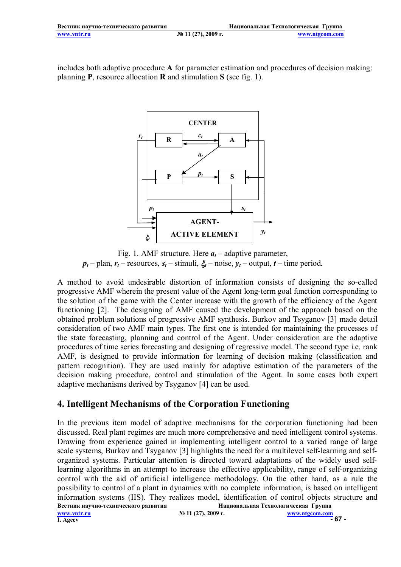includes both adaptive procedure **A** for parameter estimation and procedures of decision making: planning **P**, resource allocation **R** and stimulation **S** (see fig. 1).



Fig. 1. AMF structure. Here  $a_t$  – adaptive parameter,  $p_t$  – plan,  $r_t$  – resources,  $s_t$  – stimuli,  $\xi_t$  – noise,  $y_t$  – output,  $t$  – time period.

A method to avoid undesirable distortion of information consists of designing the so-called progressive AMF wherein the present value of the Agent long-term goal function corresponding to the solution of the game with the Center increase with the growth of the efficiency of the Agent functioning [2]. The designing of AMF caused the development of the approach based on the obtained problem solutions of progressive AMF synthesis. Burkov and Tsyganov [3] made detail consideration of two AMF main types. The first one is intended for maintaining the processes of the state forecasting, planning and control of the Agent. Under consideration are the adaptive procedures of time series forecasting and designing of regressive model. The second type i.e. rank AMF, is designed to provide information for learning of decision making (classification and pattern recognition). They are used mainly for adaptive estimation of the parameters of the decision making procedure, control and stimulation of the Agent. In some cases both expert adaptive mechanisms derived by Tsyganov [4] can be used.

## **4. Intelligent Mechanisms of the Corporation Functioning**

**Вестник научно-технического развития Национальная Технологическая Группа** In the previous item model of adaptive mechanisms for the corporation functioning had been discussed. Real plant regimes are much more comprehensive and need intelligent control systems. Drawing from experience gained in implementing intelligent control to a varied range of large scale systems, Burkov and Tsyganov [3] highlights the need for a multilevel self-learning and selforganized systems. Particular attention is directed toward adaptations of the widely used selflearning algorithms in an attempt to increase the effective applicability, range of self-organizing control with the aid of artificial intelligence methodology. On the other hand, as a rule the possibility to control of a plant in dynamics with no complete information, is based on intelligent information systems (IIS). They realizes model, identification of control objects structure and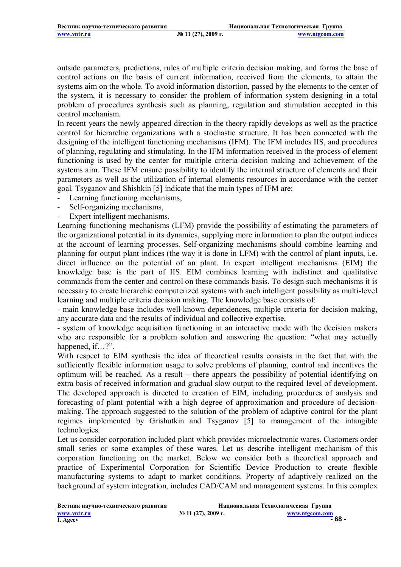outside parameters, predictions, rules of multiple criteria decision making, and forms the base of control actions on the basis of current information, received from the elements, to attain the systems aim on the whole. To avoid information distortion, passed by the elements to the center of the system, it is necessary to consider the problem of information system designing in a total problem of procedures synthesis such as planning, regulation and stimulation accepted in this control mechanism.

In recent years the newly appeared direction in the theory rapidly develops as well as the practice control for hierarchic organizations with a stochastic structure. It has been connected with the designing of the intelligent functioning mechanisms (IFM). The IFM includes IIS, and procedures of planning, regulating and stimulating. In the IFM information received in the process of element functioning is used by the center for multiple criteria decision making and achievement of the systems aim. These IFM ensure possibility to identify the internal structure of elements and their parameters as well as the utilization of internal elements resources in accordance with the center goal. Tsyganov and Shishkin [5] indicate that the main types of IFM are:

- Learning functioning mechanisms,
- Self-organizing mechanisms,
- Expert intelligent mechanisms.

Learning functioning mechanisms (LFM) provide the possibility of estimating the parameters of the organizational potential in its dynamics, supplying more information to plan the output indices at the account of learning processes. Self-organizing mechanisms should combine learning and planning for output plant indices (the way it is done in LFM) with the control of plant inputs, i.e. direct influence on the potential of an plant. In expert intelligent mechanisms (EIM) the knowledge base is the part of IIS. EIM combines learning with indistinct and qualitative commands from the center and control on these commands basis. To design such mechanisms it is necessary to create hierarchic computerized systems with such intelligent possibility as multi-level learning and multiple criteria decision making. The knowledge base consists of:

- main knowledge base includes well-known dependences, multiple criteria for decision making, any accurate data and the results of individual and collective expertise,

- system of knowledge acquisition functioning in an interactive mode with the decision makers who are responsible for a problem solution and answering the question: "what may actually happened, if…?".

With respect to EIM synthesis the idea of theoretical results consists in the fact that with the sufficiently flexible information usage to solve problems of planning, control and incentives the optimum will be reached. As a result – there appears the possibility of potential identifying on extra basis of received information and gradual slow output to the required level of development. The developed approach is directed to creation of EIM, including procedures of analysis and forecasting of plant potential with a high degree of approximation and procedure of decisionmaking. The approach suggested to the solution of the problem of adaptive control for the plant regimes implemented by Grishutkin and Tsyganov [5] to management of the intangible technologies.

Let us consider corporation included plant which provides microelectronic wares. Customers order small series or some examples of these wares. Let us describe intelligent mechanism of this corporation functioning on the market. Below we consider both a theoretical approach and practice of Experimental Corporation for Scientific Device Production to create flexible manufacturing systems to adapt to market conditions. Property of adaptively realized on the background of system integration, includes CAD/CAM and management systems. In this complex

| Вестник научно-технического развития |                        | Национальная Технологическая Группа |
|--------------------------------------|------------------------|-------------------------------------|
| www.yntr.ru<br>I. Ageev              | $N_2$ 11 (27), 2009 г. | www.ntgcom.com<br>- 68 -            |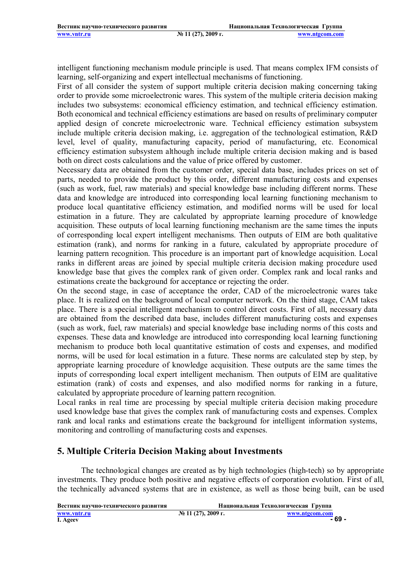intelligent functioning mechanism module principle is used. That means complex IFM consists of learning, self-organizing and expert intellectual mechanisms of functioning.

First of all consider the system of support multiple criteria decision making concerning taking order to provide some microelectronic wares. This system of the multiple criteria decision making includes two subsystems: economical efficiency estimation, and technical efficiency estimation. Both economical and technical efficiency estimations are based on results of preliminary computer applied design of concrete microelectronic ware. Technical efficiency estimation subsystem include multiple criteria decision making, i.e. aggregation of the technological estimation, R&D level, level of quality, manufacturing capacity, period of manufacturing, etc. Economical efficiency estimation subsystem although include multiple criteria decision making and is based both on direct costs calculations and the value of price offered by customer.

Necessary data are obtained from the customer order, special data base, includes prices on set of parts, needed to provide the product by this order, different manufacturing costs and expenses (such as work, fuel, raw materials) and special knowledge base including different norms. These data and knowledge are introduced into corresponding local learning functioning mechanism to produce local quantitative efficiency estimation, and modified norms will be used for local estimation in a future. They are calculated by appropriate learning procedure of knowledge acquisition. These outputs of local learning functioning mechanism are the same times the inputs of corresponding local expert intelligent mechanisms. Then outputs of EIM are both qualitative estimation (rank), and norms for ranking in a future, calculated by appropriate procedure of learning pattern recognition. This procedure is an important part of knowledge acquisition. Local ranks in different areas are joined by special multiple criteria decision making procedure used knowledge base that gives the complex rank of given order. Complex rank and local ranks and estimations create the background for acceptance or rejecting the order.

On the second stage, in case of acceptance the order, CAD of the microelectronic wares take place. It is realized on the background of local computer network. On the third stage, CAM takes place. There is a special intelligent mechanism to control direct costs. First of all, necessary data are obtained from the described data base, includes different manufacturing costs and expenses (such as work, fuel, raw materials) and special knowledge base including norms of this costs and expenses. These data and knowledge are introduced into corresponding local learning functioning mechanism to produce both local quantitative estimation of costs and expenses, and modified norms, will be used for local estimation in a future. These norms are calculated step by step, by appropriate learning procedure of knowledge acquisition. These outputs are the same times the inputs of corresponding local expert intelligent mechanism. Then outputs of EIM are qualitative estimation (rank) of costs and expenses, and also modified norms for ranking in a future, calculated by appropriate procedure of learning pattern recognition.

Local ranks in real time are processing by special multiple criteria decision making procedure used knowledge base that gives the complex rank of manufacturing costs and expenses. Complex rank and local ranks and estimations create the background for intelligent information systems, monitoring and controlling of manufacturing costs and expenses.

## **5. Multiple Criteria Decision Making about Investments**

The technological changes are created as by high technologies (high-tech) so by appropriate investments. They produce both positive and negative effects of corporation evolution. First of all, the technically advanced systems that are in existence, as well as those being built, can be used

| Вестник научно-технического развития |                       | Национальная Технологическая Группа |
|--------------------------------------|-----------------------|-------------------------------------|
| www.yntr.ru                          | $N2$ 11 (27), 2009 г. | www.ntgcom.com                      |
| I. Ageev                             |                       | - 69 -                              |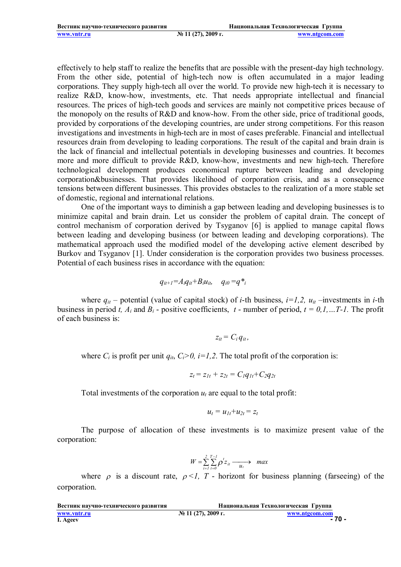effectively to help staff to realize the benefits that are possible with the present-day high technology. From the other side, potential of high-tech now is often accumulated in a major leading corporations. They supply high-tech all over the world. To provide new high-tech it is necessary to realize R&D, know-how, investments, etc. That needs appropriate intellectual and financial resources. The prices of high-tech goods and services are mainly not competitive prices because of the monopoly on the results of R&D and know-how. From the other side, price of traditional goods, provided by corporations of the developing countries, are under strong competitions. For this reason investigations and investments in high-tech are in most of cases preferable. Financial and intellectual resources drain from developing to leading corporations. The result of the capital and brain drain is the lack of financial and intellectual potentials in developing businesses and countries. It becomes more and more difficult to provide R&D, know-how, investments and new high-tech. Therefore technological development produces economical rupture between leading and developing corporation&businesses. That provides likelihood of corporation crisis, and as a consequence tensions between different businesses. This provides obstacles to the realization of a more stable set of domestic, regional and international relations.

One of the important ways to diminish a gap between leading and developing businesses is to minimize capital and brain drain. Let us consider the problem of capital drain. The concept of control mechanism of corporation derived by Tsyganov [6] is applied to manage capital flows between leading and developing business (or between leading and developing corporations). The mathematical approach used the modified model of the developing active element described by Burkov and Tsyganov [1]. Under consideration is the corporation provides two business processes. Potential of each business rises in accordance with the equation:

$$
q_{it+1} = A_i q_{it} + B_i u_{it}, \quad q_{i0} = q^*_{i}
$$

where  $q_{it}$  – potential (value of capital stock) of *i*-th business,  $i=1,2$ ,  $u_{it}$  –investments in *i*-th business in period *t, A<sub>i</sub>* and  $B_i$  - positive coefficients, *t* - number of period,  $t = 0, 1, \ldots T$ -1. The profit of each business is:

$$
z_{it}=C_i q_{it},
$$

where  $C_i$  is profit per unit  $q_{it}$ ,  $C_i > 0$ ,  $i = 1, 2$ . The total profit of the corporation is:

$$
z_t = z_{1t} + z_{2t} = C_I q_{1t} + C_2 q_{2t}
$$

Total investments of the corporation  $u_t$  are equal to the total profit:

$$
u_t = u_{1t}+u_{2t} = z_t
$$

The purpose of allocation of these investments is to maximize present value of the corporation:

$$
W = \sum_{i=1}^{2} \sum_{t=0}^{T-1} \rho^t z_{it} \longrightarrow \max
$$

where  $\rho$  is a discount rate,  $\rho < 1$ , T - horizont for business planning (farseeing) of the corporation.

| Вестник научно-технического развития |                       | Национальная Технологическая Группа |                |
|--------------------------------------|-----------------------|-------------------------------------|----------------|
| www.yntr.ru<br>I. Ageev              | $N2$ 11 (27), 2009 г. |                                     | www.ntgcom.com |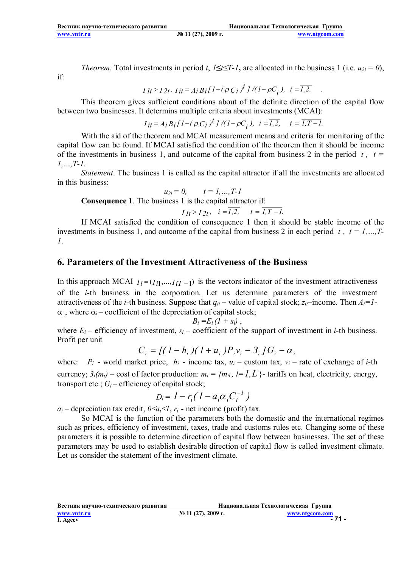| Вестник научно-технического развития |                       | Национальная Технологическая Группа |
|--------------------------------------|-----------------------|-------------------------------------|
| www.vntr.ru                          | $N2$ 11 (27), 2009 г. | www.ntgcom.com                      |

*Theorem.* Total investments in period *t*, *1***≤***t***≤***T***-***1***,** are allocated in the business 1 (i.e. *u*<sub>2t</sub> = 0),

if:

$$
I_{lt} > I_{2t}, I_{it} = A_i B_i [1 - (\rho C_i)^t]/(1 - \rho C_i), i = \overline{I_{12}}.
$$

This theorem gives sufficient conditions about of the definite direction of the capital flow between two businesses. It determins multiple criteria about investments (MCAI):

$$
I_{it} = A_i B_i [1 - (\rho C_i)^t]/(1 - \rho C_i), \quad i = \overline{I, 2}, \quad t = \overline{I, T - I}.
$$

With the aid of the theorem and MCAI measurement means and criteria for monitoring of the capital flow can be found. If MCAI satisfied the condition of the theorem then it should be income of the investments in business 1, and outcome of the capital from business 2 in the period  $t$ ,  $t =$ *1,…,T-1*.

*Statement*. The business 1 is called as the capital attractor if all the investments are allocated in this business:

$$
u_{2t}=0, \qquad t=1,...,T-1
$$

**Consequence 1**. The business 1 is the capital attractor if:

 $I_1 t > I_2 t$ ,  $i = 1,2,$   $t = 1, T - 1.$ 

If MCAI satisfied the condition of consequence 1 then it should be stable income of the investments in business 1, and outcome of the capital from business 2 in each period  $t$ ,  $t = 1, ..., T-$ *1*.

#### **6. Parameters of the Investment Attractiveness of the Business**

In this approach MCAI  $I_i = (I_{i1},...,I_{iT-1})$  is the vectors indicator of the investment attractiveness of the *i-*th business in the corporation. Let us determine parameters of the investment attractiveness of the *i*-th business. Suppose that  $q_{it}$  – value of capital stock;  $z_{it}$ –income. Then  $A_i = I$ - $\alpha_i$ , where  $\alpha_i$  – coefficient of the depreciation of capital stock;

$$
B_i = E_i (1 + s_i) ,
$$

where  $E_i$  – efficiency of investment,  $s_i$  – coefficient of the support of investment in *i*-th business. Profit per unit

$$
C_i = \frac{[(1 - h_i)(1 + u_i)P_i v_i - 3_i]}{G_i - \alpha_i}
$$

where:  $P_i$  - world market price,  $h_i$  - income tax,  $u_i$  – custom tax,  $v_i$  – rate of exchange of *i*-th currency;  $3<sub>i</sub>(m<sub>i</sub>)$  – cost of factor production:  $m<sub>i</sub> = {m<sub>i</sub>l, l=1, L}$  + tariffs on heat, electricity, energy, tronsport etc.;  $G_i$  – efficiency of capital stock;

$$
D_i = I - r_i (I - a_i \alpha_i C_i^{-1})
$$

 $a_i$  – depreciation tax credit,  $0 \le a_i \le 1$ ,  $r_i$  - net income (profit) tax.

So MCAI is the function of the parameters both the domestic and the international regimes such as prices, efficiency of investment, taxes, trade and customs rules etc. Changing some of these parameters it is possible to determine direction of capital flow between businesses. The set of these parameters may be used to establish desirable direction of capital flow is called investment climate. Let us consider the statement of the investment climate.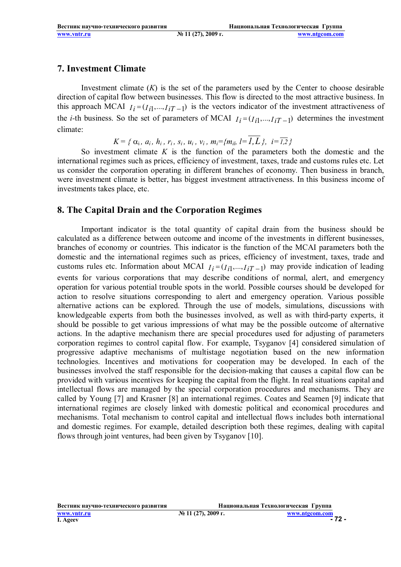#### **7. Investment Climate**

Investment climate  $(K)$  is the set of the parameters used by the Center to choose desirable direction of capital flow between businesses. This flow is directed to the most attractive business. In this approach MCAI  $I_i = (I_{i1},..., I_{iT-1})$  is the vectors indicator of the investment attractiveness of the *i*-th business. So the set of parameters of MCAI  $I_i = (I_{i1},...,I_{iT-1})$  determines the investment climate:

 $K = \{ \alpha_i, a_i, h_i, r_i, s_i, u_i, v_i, m_i = \{m_i, l = \overline{I, L}\}, i = \overline{I, 2}\}$ 

So investment climate *K* is the function of the parameters both the domestic and the international regimes such as prices, efficiency of investment, taxes, trade and customs rules etc. Let us consider the corporation operating in different branches of economy. Then business in branch, were investment climate is better, has biggest investment attractiveness. In this business income of investments takes place, etc.

## **8. The Capital Drain and the Corporation Regimes**

Important indicator is the total quantity of capital drain from the business should be calculated as a difference between outcome and income of the investments in different businesses, branches of economy or countries. This indicator is the function of the MCAI parameters both the domestic and the international regimes such as prices, efficiency of investment, taxes, trade and customs rules etc. Information about MCAI  $I_i = (I_{i1},...,I_{iT-1})$  may provide indication of leading events for various corporations that may describe conditions of normal, alert, and emergency operation for various potential trouble spots in the world. Possible courses should be developed for action to resolve situations corresponding to alert and emergency operation. Various possible alternative actions can be explored. Through the use of models, simulations, discussions with knowledgeable experts from both the businesses involved, as well as with third-party experts, it should be possible to get various impressions of what may be the possible outcome of alternative actions. In the adaptive mechanism there are special procedures used for adjusting of parameters corporation regimes to control capital flow. For example, Tsyganov [4] considered simulation of progressive adaptive mechanisms of multistage negotiation based on the new information technologies. Incentives and motivations for cooperation may be developed. In each of the businesses involved the staff responsible for the decision-making that causes a capital flow can be provided with various incentives for keeping the capital from the flight. In real situations capital and intellectual flows are managed by the special corporation procedures and mechanisms. They are called by Young [7] and Krasner [8] an international regimes. Coates and Seamen [9] indicate that international regimes are closely linked with domestic political and economical procedures and mechanisms. Total mechanism to control capital and intellectual flows includes both international and domestic regimes. For example, detailed description both these regimes, dealing with capital flows through joint ventures, had been given by Tsyganov [10].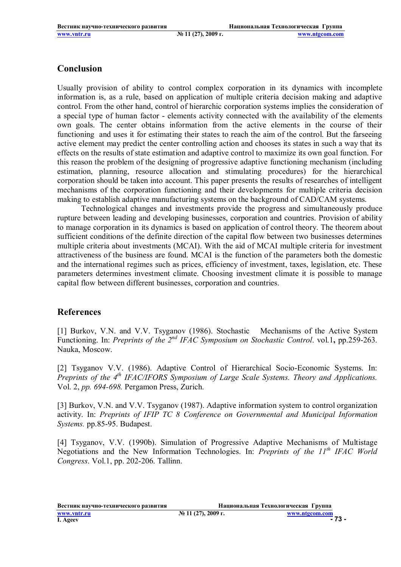#### **Conclusion**

Usually provision of ability to control complex corporation in its dynamics with incomplete information is, as a rule, based on application of multiple criteria decision making and adaptive control. From the other hand, control of hierarchic corporation systems implies the consideration of a special type of human factor - elements activity connected with the availability of the elements own goals. The center obtains information from the active elements in the course of their functioning and uses it for estimating their states to reach the aim of the control. But the farseeing active element may predict the center controlling action and chooses its states in such a way that its effects on the results of state estimation and adaptive control to maximize its own goal function. For this reason the problem of the designing of progressive adaptive functioning mechanism (including estimation, planning, resource allocation and stimulating procedures) for the hierarchical corporation should be taken into account. This paper presents the results of researches of intelligent mechanisms of the corporation functioning and their developments for multiple criteria decision making to establish adaptive manufacturing systems on the background of CAD/CAM systems.

Technological changes and investments provide the progress and simultaneously produce rupture between leading and developing businesses, corporation and countries. Provision of ability to manage corporation in its dynamics is based on application of control theory. The theorem about sufficient conditions of the definite direction of the capital flow between two businesses determines multiple criteria about investments (MCAI). With the aid of MCAI multiple criteria for investment attractiveness of the business are found. MCAI is the function of the parameters both the domestic and the international regimes such as prices, efficiency of investment, taxes, legislation, etc. These parameters determines investment climate. Choosing investment climate it is possible to manage capital flow between different businesses, corporation and countries.

## **References**

[1] Burkov, V.N. and V.V. Tsyganov (1986). Stochastic Mechanisms of the Active System Functioning. In: *Preprints of the 2nd IFAC Symposium on Stochastic Control*. vol.1**,** pp.259-263. Nauka, Moscow.

[2] Tsyganov V.V. (1986). Adaptive Control of Hierarchical Socio-Economic Systems. In: *Preprints of the 4th IFAC/IFORS Symposium of Large Scale Systems. Theory and Applications.*  Vol. 2, *pp. 694-698.* Pergamon Press, Zurich.

[3] Burkov, V.N. and V.V. Tsyganov (1987). Adaptive information system to control organization activity. In: *Preprints of IFIP TC 8 Conference on Governmental and Municipal Information Systems.* pp.85-95. Budapest.

[4] Tsyganov, V.V. (1990b). Simulation of Progressive Adaptive Mechanisms of Multistage Negotiations and the New Information Technologies. In: *Preprints of the 11th IFAC World Congress*. Vol.1, pp. 202-206. Tallinn.

**Вестник научно-технического развития Национальная Технологическая Группа www.vntr.ru** № 11 (27), 2009 г. <u>www.ntgcom.com</u><br>
1. Ageev 11 (27), 2009 г. <u>www.ntgcom.com</u> **I. Ageev - 73 -**